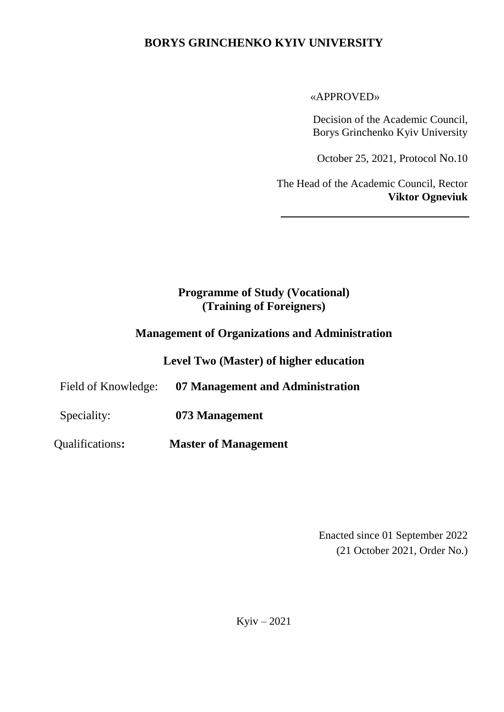## **BORYS GRINCHENKO KYIV UNIVERSITY**

#### «APPROVED»

Decision of the Academic Council, Borys Grinchenko Kyiv University

October 25, 2021, Protocol No.10

The Head of the Academic Council, Rector **Viktor Ogneviuk**

# **Programme of Study (Vocational) (Training of Foreigners)**

## **Management of Organizations and Administration**

**Level Two (Master) of higher education**

Field of Knowledge: **07 Management and Administration**

Speciality: **073 Management**

Qualifications**: Master of Management**

Enacted since 01 September 2022 (21 October 2021, Order No.)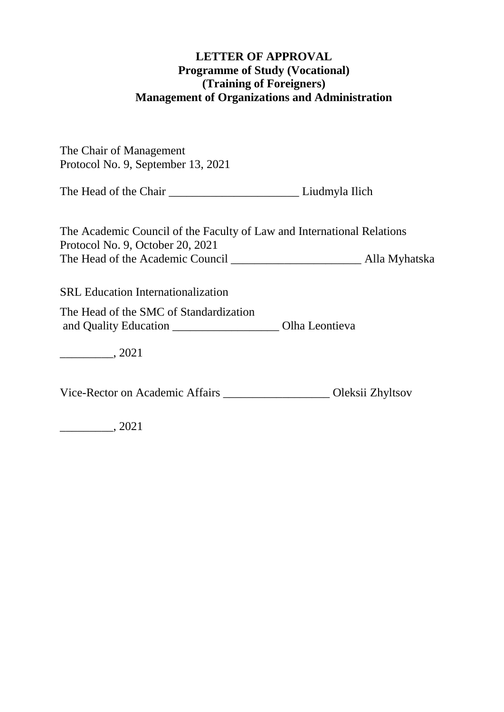### **LETTER OF APPROVAL Programme of Study (Vocational) (Training of Foreigners) Management of Organizations and Administration**

The Chair of Management Protocol No. 9, September 13, 2021

The Head of the Chair \_\_\_\_\_\_\_\_\_\_\_\_\_\_\_\_\_\_\_\_\_\_ Liudmyla Ilich

The Academic Council of the Faculty of Law and International Relations Protocol No. 9, October 20, 2021 The Head of the Academic Council \_\_\_\_\_\_\_\_\_\_\_\_\_\_\_\_\_\_\_\_\_\_ Alla Myhatska

SRL Education Internationalization

The Head of the SMC of Standardization and Quality Education \_\_\_\_\_\_\_\_\_\_\_\_\_\_\_\_\_\_ Olha Leontieva

\_\_\_\_\_\_\_\_\_, 2021

Vice-Rector on Academic Affairs \_\_\_\_\_\_\_\_\_\_\_\_\_\_\_\_\_\_ Oleksii Zhyltsov

\_\_\_\_\_\_\_\_\_, 2021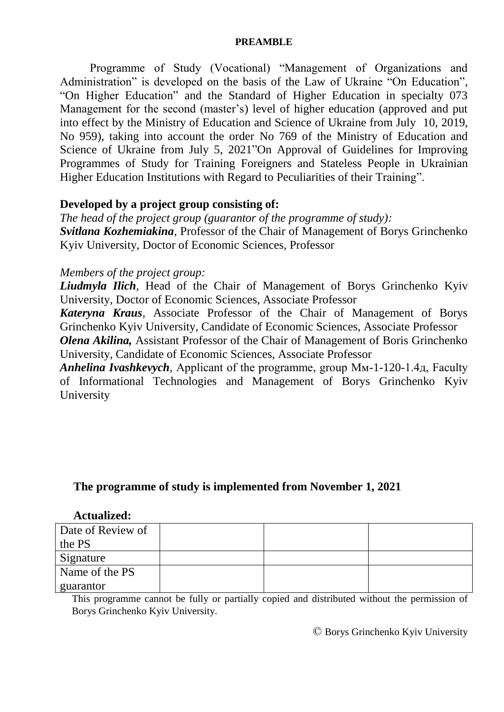#### **PREAMBLE**

Programme of Study (Vocational) "Management of Organizations and Administration" is developed on the basis of the Law of Ukraine "On Education", "On Higher Education" and the Standard of Higher Education in specialty 073 Management for the second (master's) level of higher education (approved and put into effect by the Ministry of Education and Science of Ukraine from July 10, 2019, No 959), taking into account the order No 769 of the Ministry of Education and Science of Ukraine from July 5, 2021"On Approval of Guidelines for Improving Programmes of Study for Training Foreigners and Stateless People in Ukrainian Higher Education Institutions with Regard to Peculiarities of their Training".

#### **Developed by a project group consisting of:**

*The head of the project group (guarantor of the programme of study): Svitlana Kozhemiakina,* Professor of the Chair of Management of Borys Grinchenko Kyiv University, Doctor of Economic Sciences, Professor

#### *Members of the project group:*

*Liudmyla Ilich,* Head of the Chair of Management of Borys Grinchenko Kyiv University, Doctor of Economic Sciences, Associate Professor

*Kateryna Kraus,* Associate Professor of the Chair of Management of Borys Grinchenko Kyiv University, Candidate of Economic Sciences, Associate Professor *Olena Akilina,* Assistant Professor of the Chair of Management of Boris Grinchenko University, Candidate of Economic Sciences, Associate Professor

*Anhelina Ivashkevych,* Applicant of the programme, group Мм-1-120-1.4д, Faculty of Informational Technologies and Management of Borys Grinchenko Kyiv University

#### **The programme of study is implemented from November 1, 2021**

#### **Actualized:**

| Date of Review of |  |  |
|-------------------|--|--|
| the PS            |  |  |
| Signature         |  |  |
| Name of the PS    |  |  |
| guarantor         |  |  |

This programme cannot be fully or partially copied and distributed without the permission of Borys Grinchenko Kyiv University.

© Borys Grinchenko Kyiv University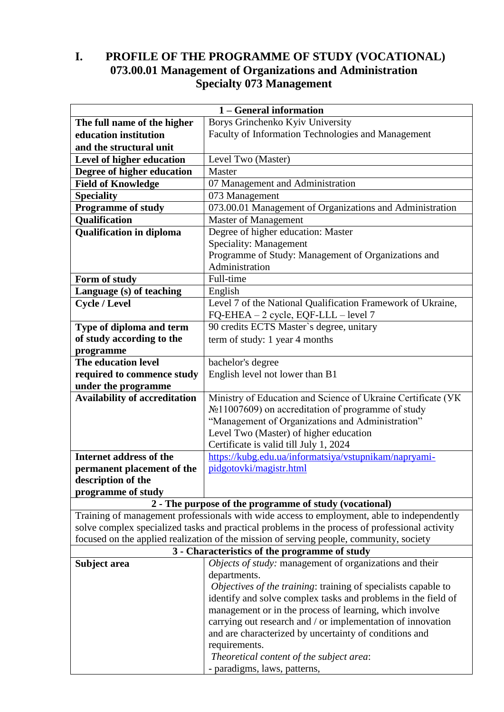# **I. PROFILE OF THE PROGRAMME OF STUDY (VOCATIONAL) 073.00.01 Management of Organizations and Administration Specialty 073 Management**

|                                      | 1 – General information                                                                                                                              |
|--------------------------------------|------------------------------------------------------------------------------------------------------------------------------------------------------|
| The full name of the higher          | Borys Grinchenko Kyiv University                                                                                                                     |
| education institution                | Faculty of Information Technologies and Management                                                                                                   |
| and the structural unit              |                                                                                                                                                      |
| Level of higher education            | Level Two (Master)                                                                                                                                   |
| Degree of higher education           | Master                                                                                                                                               |
| <b>Field of Knowledge</b>            | 07 Management and Administration                                                                                                                     |
| Speciality                           | 073 Management                                                                                                                                       |
| <b>Programme of study</b>            | 073.00.01 Management of Organizations and Administration                                                                                             |
| Qualification                        | <b>Master of Management</b>                                                                                                                          |
| <b>Qualification in diploma</b>      | Degree of higher education: Master                                                                                                                   |
|                                      | Speciality: Management                                                                                                                               |
|                                      | Programme of Study: Management of Organizations and                                                                                                  |
|                                      | Administration                                                                                                                                       |
| Form of study                        | Full-time                                                                                                                                            |
| Language (s) of teaching             | English                                                                                                                                              |
| <b>Cycle / Level</b>                 | Level 7 of the National Qualification Framework of Ukraine,                                                                                          |
|                                      | FQ-EHEA - 2 cycle, EQF-LLL - level 7                                                                                                                 |
| Type of diploma and term             | 90 credits ECTS Master's degree, unitary                                                                                                             |
| of study according to the            | term of study: 1 year 4 months                                                                                                                       |
| programme                            |                                                                                                                                                      |
| The education level                  | bachelor's degree                                                                                                                                    |
| required to commence study           | English level not lower than B1                                                                                                                      |
| under the programme                  |                                                                                                                                                      |
| <b>Availability of accreditation</b> | Ministry of Education and Science of Ukraine Certificate (VK                                                                                         |
|                                      | №11007609) on accreditation of programme of study                                                                                                    |
|                                      | "Management of Organizations and Administration"                                                                                                     |
|                                      | Level Two (Master) of higher education                                                                                                               |
|                                      | Certificate is valid till July 1, 2024                                                                                                               |
| Internet address of the              | https://kubg.edu.ua/informatsiya/vstupnikam/napryami-                                                                                                |
| permanent placement of the           | pidgotovki/magistr.html                                                                                                                              |
| description of the                   |                                                                                                                                                      |
| programme of study                   |                                                                                                                                                      |
|                                      | 2 - The purpose of the programme of study (vocational)<br>Training of management professionals with wide access to employment, able to independently |
|                                      | solve complex specialized tasks and practical problems in the process of professional activity                                                       |
|                                      | focused on the applied realization of the mission of serving people, community, society                                                              |
|                                      | 3 - Characteristics of the programme of study                                                                                                        |
| Subject area                         | Objects of study: management of organizations and their                                                                                              |
|                                      | departments.                                                                                                                                         |
|                                      | Objectives of the training: training of specialists capable to                                                                                       |
|                                      | identify and solve complex tasks and problems in the field of                                                                                        |
|                                      | management or in the process of learning, which involve                                                                                              |
|                                      | carrying out research and / or implementation of innovation                                                                                          |
|                                      | and are characterized by uncertainty of conditions and                                                                                               |
|                                      | requirements.                                                                                                                                        |
|                                      | Theoretical content of the subject area:                                                                                                             |
|                                      | - paradigms, laws, patterns,                                                                                                                         |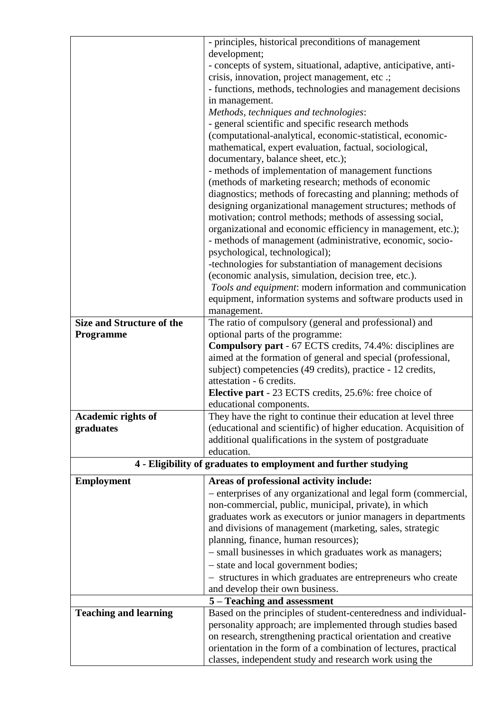|                                  | - principles, historical preconditions of management                                                                      |
|----------------------------------|---------------------------------------------------------------------------------------------------------------------------|
|                                  | development;                                                                                                              |
|                                  | - concepts of system, situational, adaptive, anticipative, anti-                                                          |
|                                  | crisis, innovation, project management, etc .;                                                                            |
|                                  | - functions, methods, technologies and management decisions                                                               |
|                                  | in management.                                                                                                            |
|                                  | Methods, techniques and technologies:                                                                                     |
|                                  | - general scientific and specific research methods                                                                        |
|                                  | (computational-analytical, economic-statistical, economic-                                                                |
|                                  | mathematical, expert evaluation, factual, sociological,                                                                   |
|                                  | documentary, balance sheet, etc.);                                                                                        |
|                                  | - methods of implementation of management functions                                                                       |
|                                  | (methods of marketing research; methods of economic                                                                       |
|                                  | diagnostics; methods of forecasting and planning; methods of                                                              |
|                                  | designing organizational management structures; methods of                                                                |
|                                  | motivation; control methods; methods of assessing social,                                                                 |
|                                  | organizational and economic efficiency in management, etc.);<br>- methods of management (administrative, economic, socio- |
|                                  | psychological, technological);                                                                                            |
|                                  | -technologies for substantiation of management decisions                                                                  |
|                                  | (economic analysis, simulation, decision tree, etc.).                                                                     |
|                                  | Tools and equipment: modern information and communication                                                                 |
|                                  | equipment, information systems and software products used in                                                              |
|                                  | management.                                                                                                               |
| <b>Size and Structure of the</b> | The ratio of compulsory (general and professional) and                                                                    |
| Programme                        | optional parts of the programme:                                                                                          |
|                                  | <b>Compulsory part - 67 ECTS credits, 74.4%: disciplines are</b>                                                          |
|                                  | aimed at the formation of general and special (professional,                                                              |
|                                  | subject) competencies (49 credits), practice - 12 credits,                                                                |
|                                  | attestation - 6 credits.                                                                                                  |
|                                  | <b>Elective part</b> - 23 ECTS credits, 25.6%: free choice of                                                             |
|                                  | educational components.                                                                                                   |
| Academic rights of               | They have the right to continue their education at level three                                                            |
| graduates                        | (educational and scientific) of higher education. Acquisition of                                                          |
|                                  | additional qualifications in the system of postgraduate                                                                   |
|                                  | education.                                                                                                                |
|                                  | 4 - Eligibility of graduates to employment and further studying                                                           |
| <b>Employment</b>                | Areas of professional activity include:                                                                                   |
|                                  | - enterprises of any organizational and legal form (commercial,                                                           |
|                                  | non-commercial, public, municipal, private), in which                                                                     |
|                                  | graduates work as executors or junior managers in departments                                                             |
|                                  | and divisions of management (marketing, sales, strategic                                                                  |
|                                  | planning, finance, human resources);                                                                                      |
|                                  | - small businesses in which graduates work as managers;                                                                   |
|                                  | - state and local government bodies;                                                                                      |
|                                  | - structures in which graduates are entrepreneurs who create                                                              |
|                                  | and develop their own business.                                                                                           |
|                                  | 5 – Teaching and assessment                                                                                               |
| <b>Teaching and learning</b>     | Based on the principles of student-centeredness and individual-                                                           |
|                                  | personality approach; are implemented through studies based                                                               |
|                                  | on research, strengthening practical orientation and creative                                                             |
|                                  | orientation in the form of a combination of lectures, practical                                                           |
|                                  | classes, independent study and research work using the                                                                    |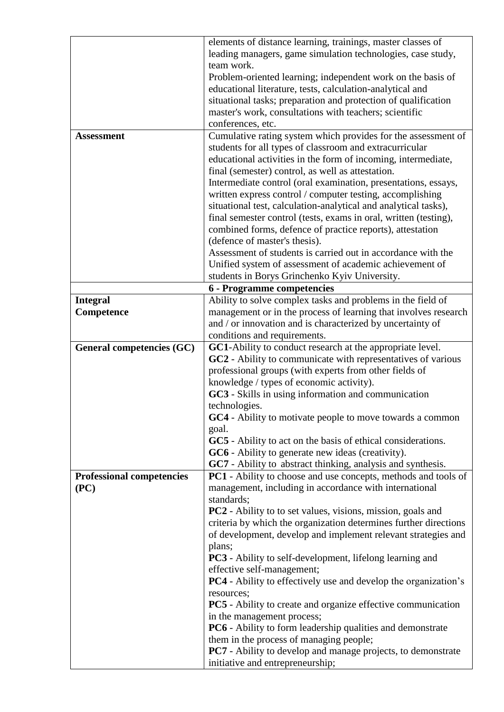|                                  | elements of distance learning, trainings, master classes of            |
|----------------------------------|------------------------------------------------------------------------|
|                                  | leading managers, game simulation technologies, case study,            |
|                                  | team work.                                                             |
|                                  | Problem-oriented learning; independent work on the basis of            |
|                                  | educational literature, tests, calculation-analytical and              |
|                                  | situational tasks; preparation and protection of qualification         |
|                                  | master's work, consultations with teachers; scientific                 |
|                                  | conferences, etc.                                                      |
| <b>Assessment</b>                | Cumulative rating system which provides for the assessment of          |
|                                  | students for all types of classroom and extracurricular                |
|                                  | educational activities in the form of incoming, intermediate,          |
|                                  | final (semester) control, as well as attestation.                      |
|                                  | Intermediate control (oral examination, presentations, essays,         |
|                                  | written express control / computer testing, accomplishing              |
|                                  | situational test, calculation-analytical and analytical tasks),        |
|                                  | final semester control (tests, exams in oral, written (testing),       |
|                                  | combined forms, defence of practice reports), attestation              |
|                                  | (defence of master's thesis).                                          |
|                                  | Assessment of students is carried out in accordance with the           |
|                                  | Unified system of assessment of academic achievement of                |
|                                  | students in Borys Grinchenko Kyiv University.                          |
|                                  | 6 - Programme competencies                                             |
| <b>Integral</b>                  | Ability to solve complex tasks and problems in the field of            |
| Competence                       | management or in the process of learning that involves research        |
|                                  | and / or innovation and is characterized by uncertainty of             |
|                                  | conditions and requirements.                                           |
| General competencies (GC)        | GC1-Ability to conduct research at the appropriate level.              |
|                                  | GC2 - Ability to communicate with representatives of various           |
|                                  | professional groups (with experts from other fields of                 |
|                                  | knowledge / types of economic activity).                               |
|                                  | GC3 - Skills in using information and communication                    |
|                                  | technologies.                                                          |
|                                  | GC4 - Ability to motivate people to move towards a common              |
|                                  | goal.                                                                  |
|                                  | GC5 - Ability to act on the basis of ethical considerations.           |
|                                  | GC6 - Ability to generate new ideas (creativity).                      |
|                                  | GC7 - Ability to abstract thinking, analysis and synthesis.            |
| <b>Professional competencies</b> | PC1 - Ability to choose and use concepts, methods and tools of         |
| (PC)                             | management, including in accordance with international                 |
|                                  | standards;                                                             |
|                                  | <b>PC2</b> - Ability to to set values, visions, mission, goals and     |
|                                  | criteria by which the organization determines further directions       |
|                                  | of development, develop and implement relevant strategies and          |
|                                  | plans;                                                                 |
|                                  | <b>PC3</b> - Ability to self-development, lifelong learning and        |
|                                  | effective self-management;                                             |
|                                  | <b>PC4</b> - Ability to effectively use and develop the organization's |
|                                  | resources;                                                             |
|                                  | <b>PC5</b> - Ability to create and organize effective communication    |
|                                  | in the management process;                                             |
|                                  | PC6 - Ability to form leadership qualities and demonstrate             |
|                                  | them in the process of managing people;                                |
|                                  | <b>PC7</b> - Ability to develop and manage projects, to demonstrate    |
|                                  | initiative and entrepreneurship;                                       |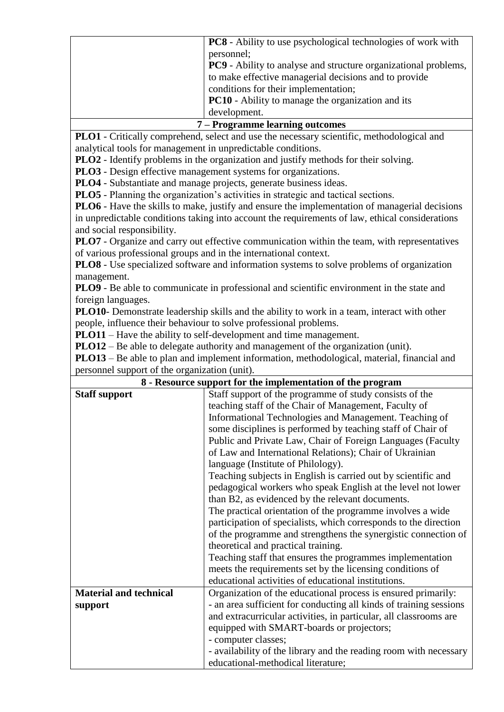| <b>PC8</b> - Ability to use psychological technologies of work with    |
|------------------------------------------------------------------------|
| personnel;                                                             |
| <b>PC9</b> - Ability to analyse and structure organizational problems, |
| to make effective managerial decisions and to provide                  |
| conditions for their implementation;                                   |
| <b>PC10</b> - Ability to manage the organization and its               |
| development.                                                           |
|                                                                        |

#### **7 – Programme learning outcomes**

**PLO1** - Critically comprehend, select and use the necessary scientific, methodological and analytical tools for management in unpredictable conditions.

**PLO2** - Identify problems in the organization and justify methods for their solving.

**PLO3** - Design effective management systems for organizations.

**PLO4** - Substantiate and manage projects, generate business ideas.

**PLO5** - Planning the organization's activities in strategic and tactical sections.

**PLO6** - Have the skills to make, justify and ensure the implementation of managerial decisions in unpredictable conditions taking into account the requirements of law, ethical considerations and social responsibility.

**PLO7** - Organize and carry out effective communication within the team, with representatives of various professional groups and in the international context.

**PLO8** - Use specialized software and information systems to solve problems of organization management.

**PLO9** - Be able to communicate in professional and scientific environment in the state and foreign languages.

**PLO10**- Demonstrate leadership skills and the ability to work in a team, interact with other people, influence their behaviour to solve professional problems.

**PLO11** – Have the ability to self-development and time management.

**PLO12** – Be able to delegate authority and management of the organization (unit).

**PLO13** – Be able to plan and implement information, methodological, material, financial and personnel support of the organization (unit).

| 8 - Resource support for the implementation of the program |                                                                    |  |  |  |  |  |
|------------------------------------------------------------|--------------------------------------------------------------------|--|--|--|--|--|
| <b>Staff support</b>                                       | Staff support of the programme of study consists of the            |  |  |  |  |  |
|                                                            | teaching staff of the Chair of Management, Faculty of              |  |  |  |  |  |
|                                                            | Informational Technologies and Management. Teaching of             |  |  |  |  |  |
|                                                            | some disciplines is performed by teaching staff of Chair of        |  |  |  |  |  |
|                                                            | Public and Private Law, Chair of Foreign Languages (Faculty        |  |  |  |  |  |
|                                                            | of Law and International Relations); Chair of Ukrainian            |  |  |  |  |  |
|                                                            | language (Institute of Philology).                                 |  |  |  |  |  |
|                                                            | Teaching subjects in English is carried out by scientific and      |  |  |  |  |  |
|                                                            | pedagogical workers who speak English at the level not lower       |  |  |  |  |  |
|                                                            | than B2, as evidenced by the relevant documents.                   |  |  |  |  |  |
|                                                            | The practical orientation of the programme involves a wide         |  |  |  |  |  |
|                                                            | participation of specialists, which corresponds to the direction   |  |  |  |  |  |
|                                                            | of the programme and strengthens the synergistic connection of     |  |  |  |  |  |
|                                                            | theoretical and practical training.                                |  |  |  |  |  |
|                                                            | Teaching staff that ensures the programmes implementation          |  |  |  |  |  |
|                                                            | meets the requirements set by the licensing conditions of          |  |  |  |  |  |
|                                                            | educational activities of educational institutions.                |  |  |  |  |  |
| <b>Material and technical</b>                              | Organization of the educational process is ensured primarily:      |  |  |  |  |  |
| support                                                    | - an area sufficient for conducting all kinds of training sessions |  |  |  |  |  |
|                                                            | and extracurricular activities, in particular, all classrooms are  |  |  |  |  |  |
|                                                            | equipped with SMART-boards or projectors;                          |  |  |  |  |  |
|                                                            | - computer classes;                                                |  |  |  |  |  |
|                                                            | - availability of the library and the reading room with necessary  |  |  |  |  |  |
|                                                            | educational-methodical literature;                                 |  |  |  |  |  |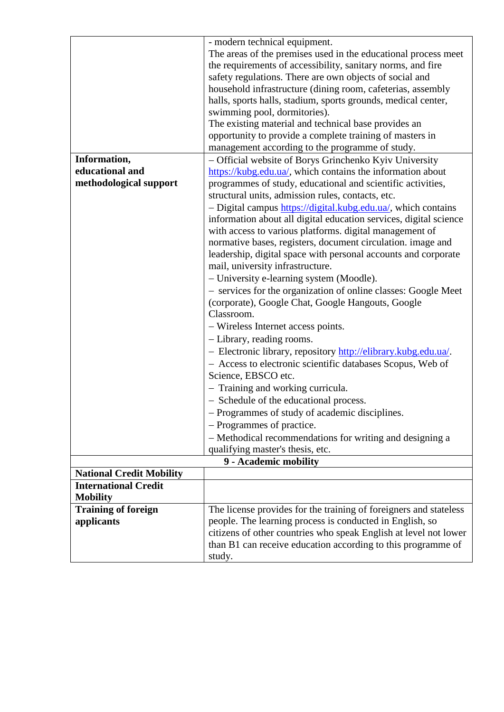|                                 | - modern technical equipment.                                     |
|---------------------------------|-------------------------------------------------------------------|
|                                 | The areas of the premises used in the educational process meet    |
|                                 | the requirements of accessibility, sanitary norms, and fire       |
|                                 | safety regulations. There are own objects of social and           |
|                                 | household infrastructure (dining room, cafeterias, assembly       |
|                                 | halls, sports halls, stadium, sports grounds, medical center,     |
|                                 | swimming pool, dormitories).                                      |
|                                 | The existing material and technical base provides an              |
|                                 | opportunity to provide a complete training of masters in          |
|                                 | management according to the programme of study.                   |
| Information,                    | - Official website of Borys Grinchenko Kyiv University            |
| educational and                 | https://kubg.edu.ua/, which contains the information about        |
| methodological support          | programmes of study, educational and scientific activities,       |
|                                 | structural units, admission rules, contacts, etc.                 |
|                                 | - Digital campus https://digital.kubg.edu.ua/, which contains     |
|                                 | information about all digital education services, digital science |
|                                 | with access to various platforms. digital management of           |
|                                 | normative bases, registers, document circulation. image and       |
|                                 | leadership, digital space with personal accounts and corporate    |
|                                 | mail, university infrastructure.                                  |
|                                 | - University e-learning system (Moodle).                          |
|                                 | - services for the organization of online classes: Google Meet    |
|                                 | (corporate), Google Chat, Google Hangouts, Google                 |
|                                 | Classroom.                                                        |
|                                 | - Wireless Internet access points.                                |
|                                 |                                                                   |
|                                 | - Library, reading rooms.                                         |
|                                 | - Electronic library, repository http://elibrary.kubg.edu.ua/.    |
|                                 | - Access to electronic scientific databases Scopus, Web of        |
|                                 | Science, EBSCO etc.                                               |
|                                 | - Training and working curricula.                                 |
|                                 | - Schedule of the educational process.                            |
|                                 | - Programmes of study of academic disciplines.                    |
|                                 | - Programmes of practice.                                         |
|                                 | - Methodical recommendations for writing and designing a          |
|                                 | qualifying master's thesis, etc.                                  |
|                                 | 9 - Academic mobility                                             |
| <b>National Credit Mobility</b> |                                                                   |
| <b>International Credit</b>     |                                                                   |
| <b>Mobility</b>                 |                                                                   |
| <b>Training of foreign</b>      | The license provides for the training of foreigners and stateless |
| applicants                      | people. The learning process is conducted in English, so          |
|                                 | citizens of other countries who speak English at level not lower  |
|                                 | than B1 can receive education according to this programme of      |
|                                 | study.                                                            |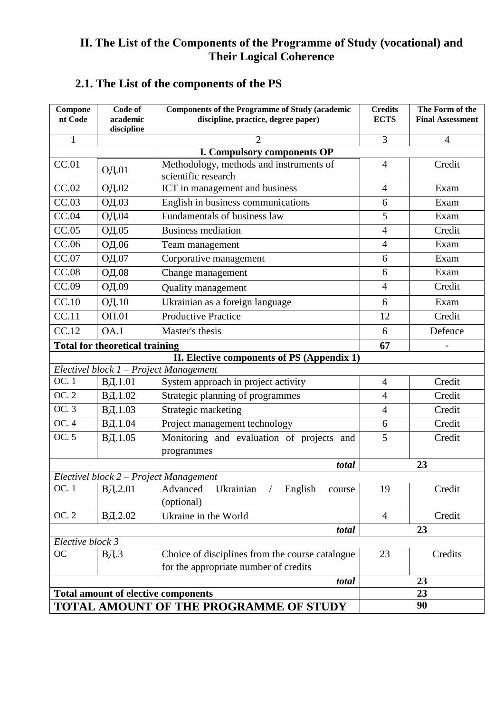### **ІІ. The List of the Components of the Programme of Study (vocational) and Their Logical Coherence**

# **2.1. The List of the components of the PS**

| Compone<br>nt Code | Code of<br>academic                        | <b>Components of the Programme of Study (academic</b><br>discipline, practice, degree paper) | <b>Credits</b><br><b>ECTS</b> | The Form of the<br><b>Final Assessment</b> |
|--------------------|--------------------------------------------|----------------------------------------------------------------------------------------------|-------------------------------|--------------------------------------------|
|                    | discipline                                 | $\mathfrak{D}$                                                                               |                               |                                            |
| $\mathbf{1}$       |                                            | 3                                                                                            | $\overline{4}$                |                                            |
| CC.01              |                                            | I. Compulsory components OP<br>Methodology, methods and instruments of                       | $\overline{4}$                | Credit                                     |
|                    | ОД.01                                      | scientific research                                                                          |                               |                                            |
| CC.02              | ОД.02                                      | ICT in management and business                                                               | $\overline{4}$                | Exam                                       |
| CC.03              | ОД.03                                      | English in business communications                                                           | 6                             | Exam                                       |
| CC.04              | ОД.04                                      | Fundamentals of business law                                                                 | 5                             | Exam                                       |
| CC.05              | ОД.05                                      | <b>Business mediation</b>                                                                    | $\overline{4}$                | Credit                                     |
| CC.06              | ОД.06                                      | Team management                                                                              | $\overline{4}$                | Exam                                       |
| CC.07              | ОД.07                                      | Corporative management                                                                       | 6                             | Exam                                       |
| CC.08              | ОД.08                                      | Change management                                                                            | 6                             | Exam                                       |
| CC.09              | ОД.09                                      | Quality management                                                                           | $\overline{4}$                | Credit                                     |
| CC.10              | ОД.10                                      | Ukrainian as a foreign language                                                              | 6                             | Exam                                       |
| CC.11              | OTI.01                                     | <b>Productive Practice</b>                                                                   | 12                            | Credit                                     |
| CC.12              | OA.1                                       | Master's thesis                                                                              | 6                             | Defence                                    |
|                    | <b>Total for theoretical training</b>      | 67                                                                                           |                               |                                            |
|                    |                                            | II. Elective components of PS (Appendix 1)                                                   |                               |                                            |
|                    |                                            | Electivel block 1 - Project Management                                                       |                               |                                            |
| OC. 1              | ВД.1.01                                    | System approach in project activity                                                          | $\overline{4}$                | Credit                                     |
| OC.2               | ВД.1.02                                    | Strategic planning of programmes                                                             | $\overline{4}$                | Credit                                     |
| OC.3               | ВД.1.03                                    | Strategic marketing                                                                          | $\overline{4}$                | Credit                                     |
| OC.4               | ВД.1.04                                    | Project management technology                                                                | 6                             | Credit                                     |
| OC.5               | ВД.1.05                                    | Monitoring and evaluation of projects and                                                    | 5                             | Credit                                     |
|                    |                                            | programmes                                                                                   |                               |                                            |
|                    |                                            | total                                                                                        |                               | 23                                         |
|                    |                                            | Electivel block 2 – Project Management                                                       |                               |                                            |
| OC. 1              | ВД.2.01                                    | Ukrainian<br>Advanced<br>English<br>$\sqrt{2}$<br>course<br>(optional)                       | 19                            | Credit                                     |
| OC. 2              | ВД.2.02                                    | Ukraine in the World                                                                         | $\overline{4}$                | Credit                                     |
|                    |                                            | total                                                                                        |                               | 23                                         |
| Elective block 3   |                                            |                                                                                              |                               |                                            |
| <b>OC</b>          | ВД.3                                       | Choice of disciplines from the course catalogue                                              | 23                            | Credits                                    |
|                    |                                            | for the appropriate number of credits                                                        |                               |                                            |
|                    |                                            | 23                                                                                           |                               |                                            |
|                    | <b>Total amount of elective components</b> | 23                                                                                           |                               |                                            |
|                    | TOTAL AMOUNT OF THE PROGRAMME OF STUDY     |                                                                                              | 90                            |                                            |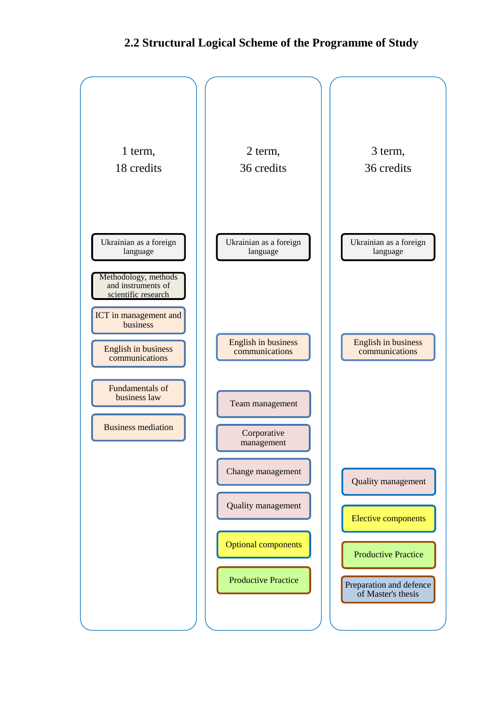### **2.2 Structural Logical Scheme of the Programme of Study**

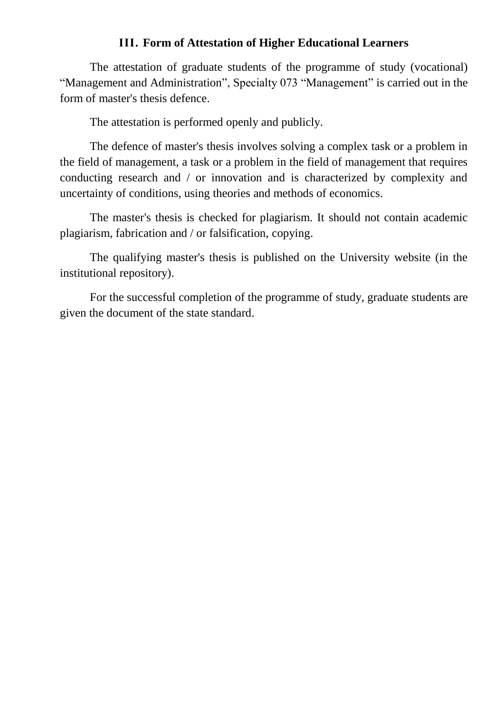#### **ІІІ. Form of Attestation of Higher Educational Learners**

The attestation of graduate students of the programme of study (vocational) "Management and Administration", Specialty 073 "Management" is carried out in the form of master's thesis defence.

The attestation is performed openly and publicly.

The defence of master's thesis involves solving a complex task or a problem in the field of management, a task or a problem in the field of management that requires conducting research and / or innovation and is characterized by complexity and uncertainty of conditions, using theories and methods of economics.

The master's thesis is checked for plagiarism. It should not contain academic plagiarism, fabrication and / or falsification, copying.

The qualifying master's thesis is published on the University website (in the institutional repository).

For the successful completion of the programme of study, graduate students are given the document of the state standard.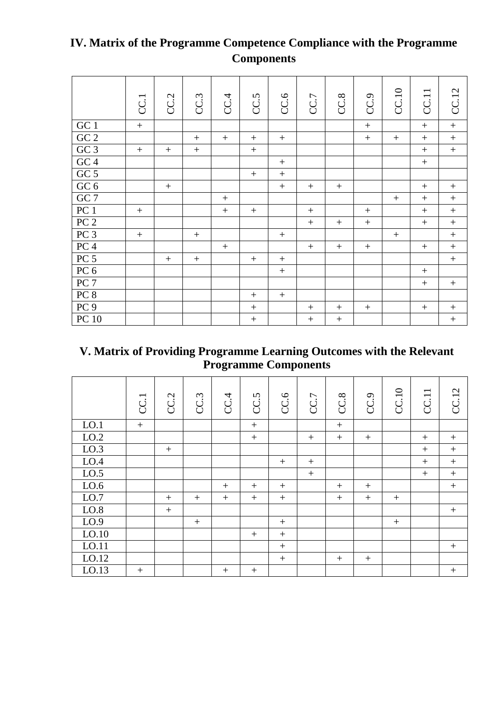|                  | CC.1 | CC.2   | CC <sub>3</sub> | CC.4 | CC.5             | CC.6   | CC.7   | CC.8   | CC.9      | CC.10 | CC.11  | <b>CC.12</b>      |
|------------------|------|--------|-----------------|------|------------------|--------|--------|--------|-----------|-------|--------|-------------------|
| GC <sub>1</sub>  | $+$  |        |                 |      |                  |        |        |        | $+$       |       | $+$    | $+$               |
| $\rm GC$ $2$     |      |        | $+$             | $+$  | $^{+}$           | $^{+}$ |        |        | $\ddot{}$ |       |        | $+$               |
| GC3              | $+$  | $^{+}$ | $+$             |      | $+$              |        |        |        |           |       |        | $+$               |
| $GC\overline{4}$ |      |        |                 |      |                  | $^{+}$ |        |        |           |       |        |                   |
| $\rm GC$ $5$     |      |        |                 |      |                  | $^{+}$ |        |        |           |       |        |                   |
| $\rm GC$ $6$     |      | $^{+}$ |                 |      |                  | $^{+}$ | $+$    | $+$    |           |       | $^{+}$ | $^{+}$            |
| GC 7             |      |        |                 | $+$  |                  |        |        |        |           | $+$   | $+$    | $\qquad \qquad +$ |
| ${\rm PC}$ $1$   | $+$  |        |                 | $+$  | $^{+}$           |        | $+$    |        | $^{+}$    |       | $+$    | $\boldsymbol{+}$  |
| PC <sub>2</sub>  |      |        |                 |      |                  |        | $+$    |        | $^{+}$    |       | $+$    | $^{+}$            |
| PC <sub>3</sub>  | $+$  |        | $+$             |      |                  | $+$    |        |        |           | $+$   |        | $+$               |
| PC <sub>4</sub>  |      |        |                 | $+$  |                  |        | $+$    | $+$    | $+$       |       |        | $^{+}$            |
| PC <sub>5</sub>  |      | $^{+}$ |                 |      |                  |        |        |        |           |       |        | $\qquad \qquad +$ |
| PC <sub>6</sub>  |      |        |                 |      |                  | $^{+}$ |        |        |           |       | $^{+}$ |                   |
| PC <sub>7</sub>  |      |        |                 |      |                  |        |        |        |           |       | $+$    |                   |
| PC 8             |      |        |                 |      | $^{+}$           | $+$    |        |        |           |       |        |                   |
| PC <sub>9</sub>  |      |        |                 |      | $+$              |        | $+$    | $^{+}$ | $^{+}$    |       | $^{+}$ |                   |
| PC10             |      |        |                 |      | $\boldsymbol{+}$ |        | $^{+}$ | $+$    |           |       |        | $\! + \!$         |

# **IV. Matrix of the Programme Competence Compliance with the Programme Components**

# **V. Matrix of Providing Programme Learning Outcomes with the Relevant Programme Components**

|       | CC.1   | CC.2 | CC <sub>3</sub> | CC.4   | CC.5   | CC.6   | CC.7   | CC.8   | CC <sub>9</sub> | CC.10 | $\overline{\phantom{0}}$<br>CC1 | <b>CC.12</b> |
|-------|--------|------|-----------------|--------|--------|--------|--------|--------|-----------------|-------|---------------------------------|--------------|
| LO.1  | $+$    |      |                 |        | $+$    |        |        | $+$    |                 |       |                                 |              |
| LO.2  |        |      |                 |        | $+$    |        | $^{+}$ | $+$    | $^{+}$          |       | $+$                             | $^{+}$       |
| LO.3  |        | $+$  |                 |        |        |        |        |        |                 |       | $+$                             | $+$          |
| LO.4  |        |      |                 |        |        | $^{+}$ | $^{+}$ |        |                 |       | $+$                             | $+$          |
| LO.5  |        |      |                 |        |        |        | $+$    |        |                 |       | $+$                             | $^{+}$       |
| LO.6  |        |      |                 | $^{+}$ | $^{+}$ | $^{+}$ |        | $^{+}$ | $^{+}$          |       |                                 | $+$          |
| LO.7  |        | $+$  | $^{+}$          | $+$    | $+$    | $+$    |        | $+$    | $+$             | $+$   |                                 |              |
| LO.8  |        | $+$  |                 |        |        |        |        |        |                 |       |                                 | $+$          |
| LO.9  |        |      | $+$             |        |        | $+$    |        |        |                 | $+$   |                                 |              |
| LO.10 |        |      |                 |        | $+$    | $+$    |        |        |                 |       |                                 |              |
| LO.11 |        |      |                 |        |        | $+$    |        |        |                 |       |                                 | $+$          |
| LO.12 |        |      |                 |        |        | $+$    |        | $+$    | $+$             |       |                                 |              |
| LO.13 | $^{+}$ |      |                 | $^{+}$ | $^{+}$ |        |        |        |                 |       |                                 | $\! + \!$    |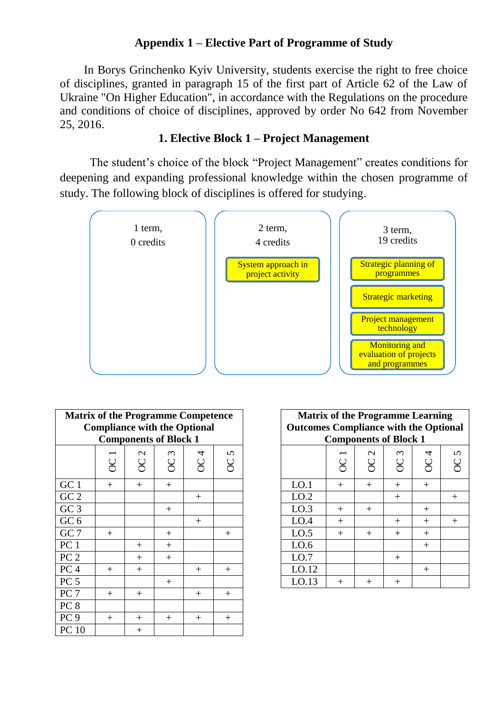## **Appendix 1 – Elective Part of Programme of Study**

In Borys Grinchenko Kyiv University, students exercise the right to free choice of disciplines, granted in paragraph 15 of the first part of Article 62 of the Law of Ukraine "On Higher Education", in accordance with the Regulations on the procedure and conditions of choice of disciplines, approved by order No 642 from November 25, 2016.

### **1. Elective Block 1 – Project Management**

The student's choice of the block "Project Management" creates conditions for deepening and expanding professional knowledge within the chosen programme of study. The following block of disciplines is offered for studying.



| <b>Matrix of the Programme Competence</b><br><b>Compliance with the Optional</b><br><b>Components of Block 1</b> |                     |                            |                              |                |                            | <b>Matrix of the Programme Learning</b><br><b>Outcomes Compliance with the Options</b> |                                            |                                     | <b>Components of Block 1</b> |                     |        |
|------------------------------------------------------------------------------------------------------------------|---------------------|----------------------------|------------------------------|----------------|----------------------------|----------------------------------------------------------------------------------------|--------------------------------------------|-------------------------------------|------------------------------|---------------------|--------|
|                                                                                                                  | ↽<br>$\overline{C}$ | $\mathcal{L}$<br><b>SC</b> | $\epsilon$<br>$\overline{C}$ | 4<br><b>SC</b> | $\Omega$<br>$\overline{C}$ |                                                                                        | $\overline{\phantom{0}}$<br>$\overline{C}$ | $\mathbf{\Omega}$<br>$\overline{C}$ | $\infty$<br>$\rm{C}$         | 4<br>$\overline{C}$ | Ч<br>Š |
| GC 1                                                                                                             | $+$                 | $+$                        | $^{+}$                       |                |                            | LO.1                                                                                   | $+$                                        | $^{+}$                              | $^{+}$                       | $^{+}$              |        |
| $\rm GC$ $2$                                                                                                     |                     |                            |                              | $^{+}$         |                            | LO.2                                                                                   |                                            |                                     | $+$                          |                     | $^{+}$ |
| GC <sub>3</sub>                                                                                                  |                     |                            | $^{+}$                       |                |                            | LO.3                                                                                   | $^{+}$                                     | $^{+}$                              |                              | $^{+}$              |        |
| GC $6$                                                                                                           |                     |                            |                              | $^{+}$         |                            | LO.4                                                                                   | $^{+}$                                     |                                     | $^{+}$                       | $^{+}$              | $^{+}$ |
| GC 7                                                                                                             | $^{+}$              |                            | $^{+}$                       |                | $^{+}$                     | LO.5                                                                                   | $^{+}$                                     | $^{+}$                              | $^{+}$                       | $^{+}$              |        |
| PC <sub>1</sub>                                                                                                  |                     | $+$                        | $^{+}$                       |                |                            | LO.6                                                                                   |                                            |                                     |                              | $^{+}$              |        |
| PC <sub>2</sub>                                                                                                  |                     | $^{+}$                     | $^{+}$                       |                |                            | LO.7                                                                                   |                                            |                                     | $^{+}$                       |                     |        |
| ${\rm PC}$ 4                                                                                                     | $^{+}$              | $^{+}$                     |                              | $^{+}$         | $^{+}$                     | LO.12                                                                                  |                                            |                                     |                              | $^{+}$              |        |
| PC <sub>5</sub>                                                                                                  |                     |                            | $^{+}$                       |                |                            | LO.13                                                                                  | $^{+}$                                     | $^{+}$                              | $^{+}$                       |                     |        |
| PC <sub>7</sub>                                                                                                  | $+$                 | $^{+}$                     |                              | $^{+}$         | $^{+}$                     |                                                                                        |                                            |                                     |                              |                     |        |
| PC 8                                                                                                             |                     |                            |                              |                |                            |                                                                                        |                                            |                                     |                              |                     |        |
| PC9                                                                                                              | $^{+}$              | $+$                        | $^{+}$                       | $^{+}$         | $^{+}$                     |                                                                                        |                                            |                                     |                              |                     |        |
| <b>PC 10</b>                                                                                                     |                     | $^{+}$                     |                              |                |                            |                                                                                        |                                            |                                     |                              |                     |        |

| <b>Matrix of the Programme Learning</b><br><b>Outcomes Compliance with the Optional</b><br><b>Components of Block 1</b> |           |                 |                              |                 |        |  |  |  |
|-------------------------------------------------------------------------------------------------------------------------|-----------|-----------------|------------------------------|-----------------|--------|--|--|--|
|                                                                                                                         | <b>SC</b> | OC <sub>2</sub> | $\epsilon$<br>$\overline{C}$ | OC <sub>4</sub> | OC5    |  |  |  |
| LO.1                                                                                                                    | $+$       | $^{+}$          |                              | $^{+}$          |        |  |  |  |
| LO.2                                                                                                                    |           |                 | $^{+}$                       |                 | $^{+}$ |  |  |  |
| LO.3                                                                                                                    | $+$       | $^{+}$          |                              | $^{+}$          |        |  |  |  |
| LO.4                                                                                                                    | $+$       |                 | $^{+}$                       | $^{+}$          | $^{+}$ |  |  |  |
| LO.5                                                                                                                    | $+$       | $^{+}$          | $^{+}$                       | $^{+}$          |        |  |  |  |
| LO.6                                                                                                                    |           |                 |                              | $^{+}$          |        |  |  |  |
| LO.7                                                                                                                    |           |                 | $^{+}$                       |                 |        |  |  |  |
| LO.12                                                                                                                   |           |                 |                              | $^{+}$          |        |  |  |  |
| LO.13                                                                                                                   |           |                 |                              |                 |        |  |  |  |